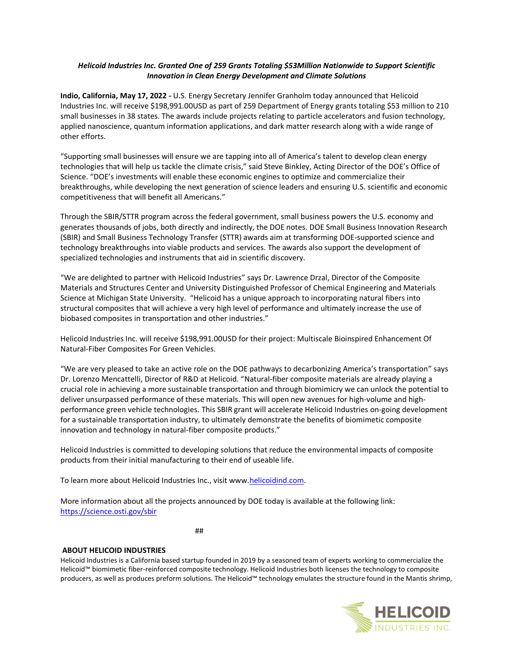## *Helicoid Industries Inc. Granted One of 259 Grants Totaling \$53Million Nationwide to Support Scientific Innovation in Clean Energy Development and Climate Solutions*

**Indio, California, May 17, 2022 -** U.S. Energy Secretary Jennifer Granholm today announced that Helicoid Industries Inc. will receive \$198,991.00USD as part of 259 Department of Energy grants totaling \$53 million to 210 small businesses in 38 states. The awards include projects relating to particle accelerators and fusion technology, applied nanoscience, quantum information applications, and dark matter research along with a wide range of other efforts.

"Supporting small businesses will ensure we are tapping into all of America's talent to develop clean energy technologies that will help us tackle the climate crisis," said Steve Binkley, Acting Director of the DOE's Office of Science. "DOE's investments will enable these economic engines to optimize and commercialize their breakthroughs, while developing the next generation of science leaders and ensuring U.S. scientific and economic competitiveness that will benefit all Americans."

Through the SBIR/STTR program across the federal government, small business powers the U.S. economy and generates thousands of jobs, both directly and indirectly, the DOE notes. DOE Small Business Innovation Research (SBIR) and Small Business Technology Transfer (STTR) awards aim at transforming DOE-supported science and technology breakthroughs into viable products and services. The awards also support the development of specialized technologies and instruments that aid in scientific discovery.

"We are delighted to partner with Helicoid Industries" says Dr. Lawrence Drzal, Director of the Composite Materials and Structures Center and University Distinguished Professor of Chemical Engineering and Materials Science at Michigan State University. "Helicoid has a unique approach to incorporating natural fibers into structural composites that will achieve a very high level of performance and ultimately increase the use of biobased composites in transportation and other industries."

Helicoid Industries Inc. will receive \$198,991.00USD for their project: Multiscale Bioinspired Enhancement Of Natural-Fiber Composites For Green Vehicles.

"We are very pleased to take an active role on the DOE pathways to decarbonizing America's transportation" says Dr. Lorenzo Mencattelli, Director of R&D at Helicoid. "Natural-fiber composite materials are already playing a crucial role in achieving a more sustainable transportation and through biomimicry we can unlock the potential to deliver unsurpassed performance of these materials. This will open new avenues for high-volume and highperformance green vehicle technologies. This SBIR grant will accelerate Helicoid Industries on-going development for a sustainable transportation industry, to ultimately demonstrate the benefits of biomimetic composite innovation and technology in natural-fiber composite products."

Helicoid Industries is committed to developing solutions that reduce the environmental impacts of composite products from their initial manufacturing to their end of useable life.

To learn more about Helicoid Industries Inc., visit www[.helicoidind.com.](http://helicoidind.com/)

More information about all the projects announced by DOE today is available at the following link: <https://science.osti.gov/sbir>

##

## **ABOUT HELICOID INDUSTRIES**

Helicoid Industries is a California based startup founded in 2019 by a seasoned team of experts working to commercialize the Helicoid™ biomimetic fiber-reinforced composite technology. Helicoid Industries both licenses the technology to composite producers, as well as produces preform solutions. The Helicoid™ technology emulates the structure found in the Mantis shrimp,